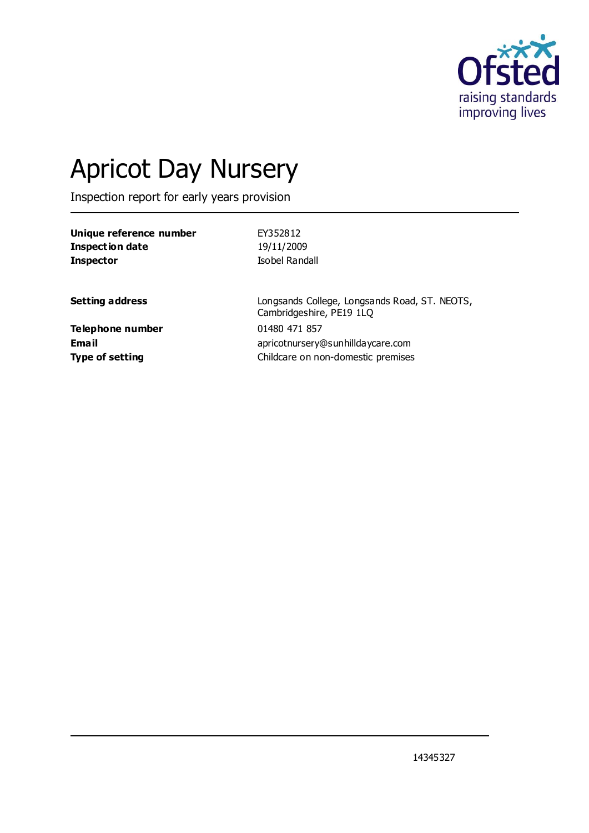

# Apricot Day Nursery

Inspection report for early years provision

| Unique reference number | EY352812                                                                  |
|-------------------------|---------------------------------------------------------------------------|
| <b>Inspection date</b>  | 19/11/2009                                                                |
| <b>Inspector</b>        | Isobel Randall                                                            |
|                         |                                                                           |
| <b>Setting address</b>  | Longsands College, Longsands Road, ST. NEOTS,<br>Cambridgeshire, PE19 1LQ |
| Telephone number        | 01480 471 857                                                             |
| <b>Email</b>            | apricotnursery@sunhilldaycare.com                                         |
| <b>Type of setting</b>  | Childcare on non-domestic premises                                        |
|                         |                                                                           |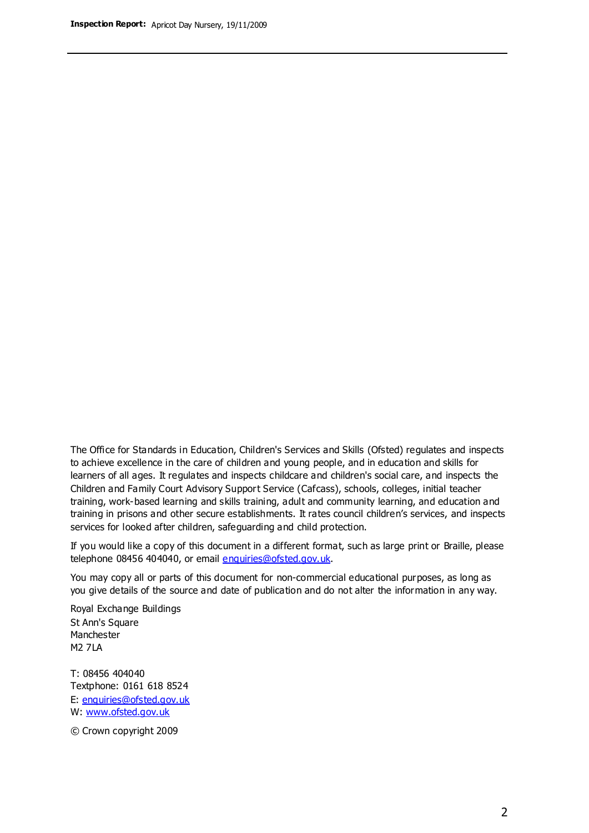The Office for Standards in Education, Children's Services and Skills (Ofsted) regulates and inspects to achieve excellence in the care of children and young people, and in education and skills for learners of all ages. It regulates and inspects childcare and children's social care, and inspects the Children and Family Court Advisory Support Service (Cafcass), schools, colleges, initial teacher training, work-based learning and skills training, adult and community learning, and education and training in prisons and other secure establishments. It rates council children's services, and inspects services for looked after children, safeguarding and child protection.

If you would like a copy of this document in a different format, such as large print or Braille, please telephone 08456 404040, or email enquiries@ofsted.gov.uk.

You may copy all or parts of this document for non-commercial educational purposes, as long as you give details of the source and date of publication and do not alter the information in any way.

Royal Exchange Buildings St Ann's Square Manchester M2 7LA

T: 08456 404040 Textphone: 0161 618 8524 E: enquiries@ofsted.gov.uk W: [www.ofsted.gov.uk](http://www.ofsted.gov.uk/)

© Crown copyright 2009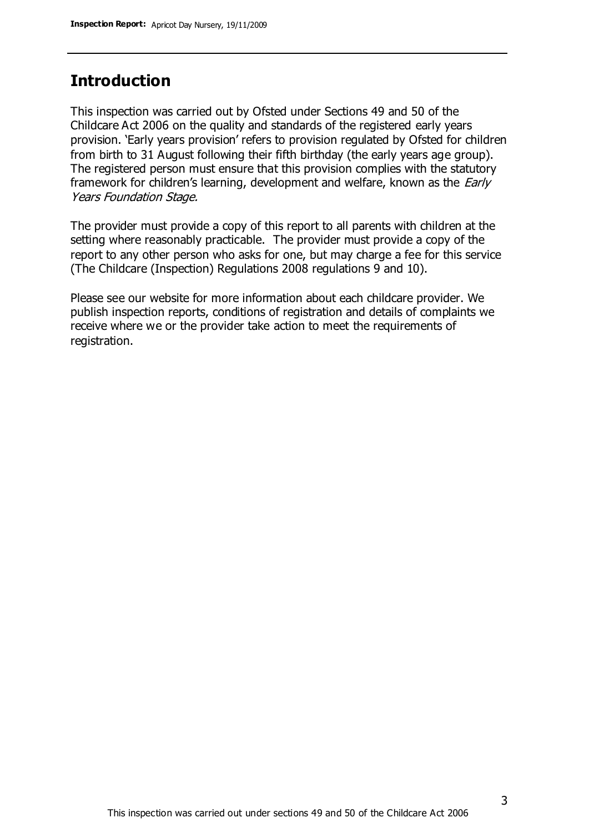## **Introduction**

This inspection was carried out by Ofsted under Sections 49 and 50 of the Childcare Act 2006 on the quality and standards of the registered early years provision. 'Early years provision' refers to provision regulated by Ofsted for children from birth to 31 August following their fifth birthday (the early years age group). The registered person must ensure that this provision complies with the statutory framework for children's learning, development and welfare, known as the *Early* Years Foundation Stage.

The provider must provide a copy of this report to all parents with children at the setting where reasonably practicable. The provider must provide a copy of the report to any other person who asks for one, but may charge a fee for this service (The Childcare (Inspection) Regulations 2008 regulations 9 and 10).

Please see our website for more information about each childcare provider. We publish inspection reports, conditions of registration and details of complaints we receive where we or the provider take action to meet the requirements of registration.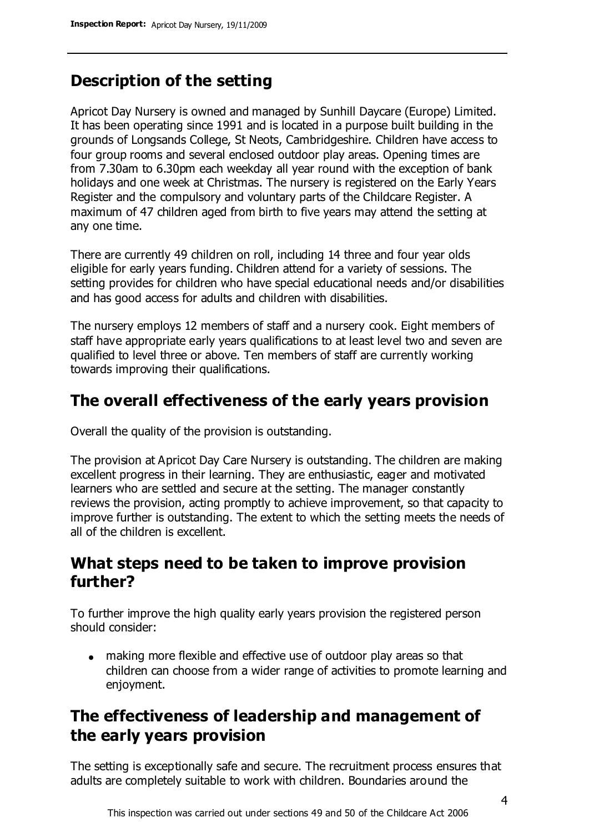# **Description of the setting**

Apricot Day Nursery is owned and managed by Sunhill Daycare (Europe) Limited. It has been operating since 1991 and is located in a purpose built building in the grounds of Longsands College, St Neots, Cambridgeshire. Children have access to four group rooms and several enclosed outdoor play areas. Opening times are from 7.30am to 6.30pm each weekday all year round with the exception of bank holidays and one week at Christmas. The nursery is registered on the Early Years Register and the compulsory and voluntary parts of the Childcare Register. A maximum of 47 children aged from birth to five years may attend the setting at any one time.

There are currently 49 children on roll, including 14 three and four year olds eligible for early years funding. Children attend for a variety of sessions. The setting provides for children who have special educational needs and/or disabilities and has good access for adults and children with disabilities.

The nursery employs 12 members of staff and a nursery cook. Eight members of staff have appropriate early years qualifications to at least level two and seven are qualified to level three or above. Ten members of staff are currently working towards improving their qualifications.

## **The overall effectiveness of the early years provision**

Overall the quality of the provision is outstanding.

The provision at Apricot Day Care Nursery is outstanding. The children are making excellent progress in their learning. They are enthusiastic, eager and motivated learners who are settled and secure at the setting. The manager constantly reviews the provision, acting promptly to achieve improvement, so that capacity to improve further is outstanding. The extent to which the setting meets the needs of all of the children is excellent.

## **What steps need to be taken to improve provision further?**

To further improve the high quality early years provision the registered person should consider:

making more flexible and effective use of outdoor play areas so that children can choose from a wider range of activities to promote learning and enjoyment.

# **The effectiveness of leadership and management of the early years provision**

The setting is exceptionally safe and secure. The recruitment process ensures that adults are completely suitable to work with children. Boundaries around the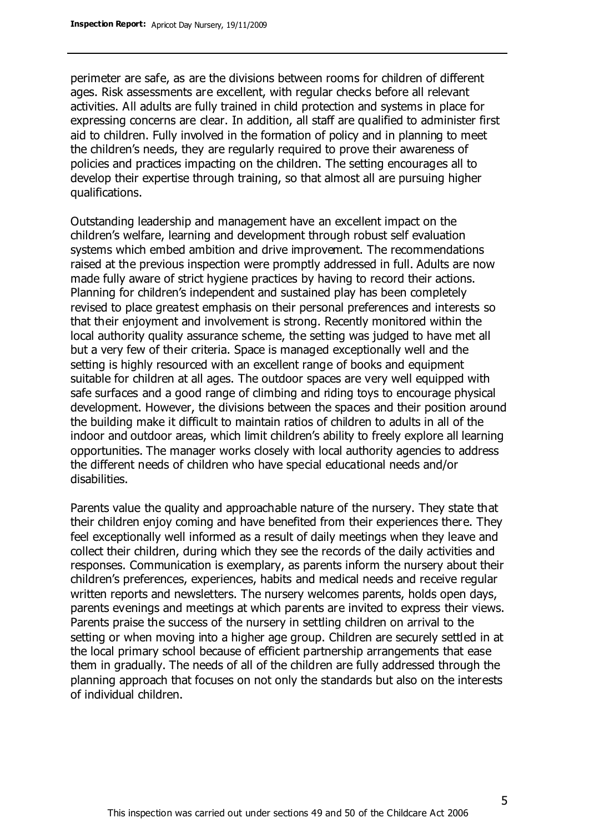perimeter are safe, as are the divisions between rooms for children of different ages. Risk assessments are excellent, with regular checks before all relevant activities. All adults are fully trained in child protection and systems in place for expressing concerns are clear. In addition, all staff are qualified to administer first aid to children. Fully involved in the formation of policy and in planning to meet the children's needs, they are regularly required to prove their awareness of policies and practices impacting on the children. The setting encourages all to develop their expertise through training, so that almost all are pursuing higher qualifications.

Outstanding leadership and management have an excellent impact on the children's welfare, learning and development through robust self evaluation systems which embed ambition and drive improvement. The recommendations raised at the previous inspection were promptly addressed in full. Adults are now made fully aware of strict hygiene practices by having to record their actions. Planning for children's independent and sustained play has been completely revised to place greatest emphasis on their personal preferences and interests so that their enjoyment and involvement is strong. Recently monitored within the local authority quality assurance scheme, the setting was judged to have met all but a very few of their criteria. Space is managed exceptionally well and the setting is highly resourced with an excellent range of books and equipment suitable for children at all ages. The outdoor spaces are very well equipped with safe surfaces and a good range of climbing and riding toys to encourage physical development. However, the divisions between the spaces and their position around the building make it difficult to maintain ratios of children to adults in all of the indoor and outdoor areas, which limit children's ability to freely explore all learning opportunities. The manager works closely with local authority agencies to address the different needs of children who have special educational needs and/or disabilities.

Parents value the quality and approachable nature of the nursery. They state that their children enjoy coming and have benefited from their experiences there. They feel exceptionally well informed as a result of daily meetings when they leave and collect their children, during which they see the records of the daily activities and responses. Communication is exemplary, as parents inform the nursery about their children's preferences, experiences, habits and medical needs and receive regular written reports and newsletters. The nursery welcomes parents, holds open days, parents evenings and meetings at which parents are invited to express their views. Parents praise the success of the nursery in settling children on arrival to the setting or when moving into a higher age group. Children are securely settled in at the local primary school because of efficient partnership arrangements that ease them in gradually. The needs of all of the children are fully addressed through the planning approach that focuses on not only the standards but also on the interests of individual children.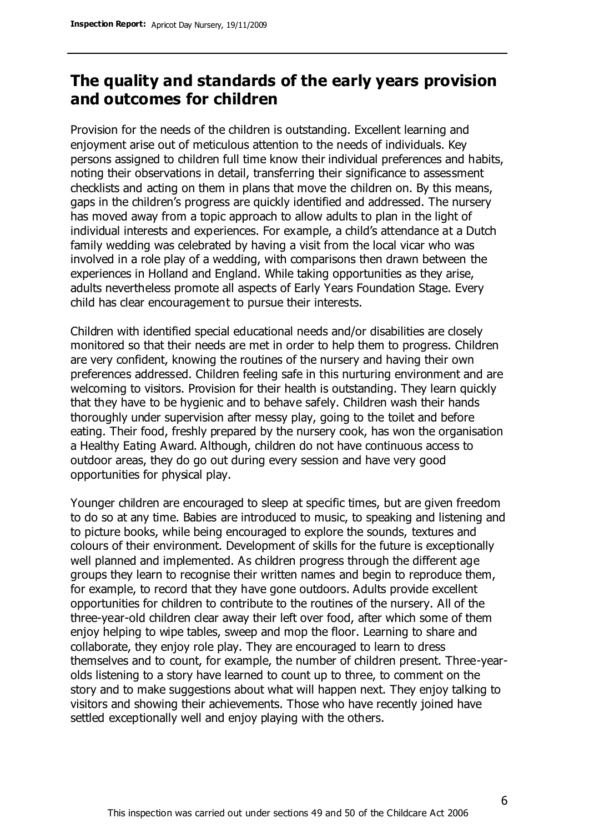## **The quality and standards of the early years provision and outcomes for children**

Provision for the needs of the children is outstanding. Excellent learning and enjoyment arise out of meticulous attention to the needs of individuals. Key persons assigned to children full time know their individual preferences and habits, noting their observations in detail, transferring their significance to assessment checklists and acting on them in plans that move the children on. By this means, gaps in the children's progress are quickly identified and addressed. The nursery has moved away from a topic approach to allow adults to plan in the light of individual interests and experiences. For example, a child's attendance at a Dutch family wedding was celebrated by having a visit from the local vicar who was involved in a role play of a wedding, with comparisons then drawn between the experiences in Holland and England. While taking opportunities as they arise, adults nevertheless promote all aspects of Early Years Foundation Stage. Every child has clear encouragement to pursue their interests.

Children with identified special educational needs and/or disabilities are closely monitored so that their needs are met in order to help them to progress. Children are very confident, knowing the routines of the nursery and having their own preferences addressed. Children feeling safe in this nurturing environment and are welcoming to visitors. Provision for their health is outstanding. They learn quickly that they have to be hygienic and to behave safely. Children wash their hands thoroughly under supervision after messy play, going to the toilet and before eating. Their food, freshly prepared by the nursery cook, has won the organisation a Healthy Eating Award. Although, children do not have continuous access to outdoor areas, they do go out during every session and have very good opportunities for physical play.

Younger children are encouraged to sleep at specific times, but are given freedom to do so at any time. Babies are introduced to music, to speaking and listening and to picture books, while being encouraged to explore the sounds, textures and colours of their environment. Development of skills for the future is exceptionally well planned and implemented. As children progress through the different age groups they learn to recognise their written names and begin to reproduce them, for example, to record that they have gone outdoors. Adults provide excellent opportunities for children to contribute to the routines of the nursery. All of the three-year-old children clear away their left over food, after which some of them enjoy helping to wipe tables, sweep and mop the floor. Learning to share and collaborate, they enjoy role play. They are encouraged to learn to dress themselves and to count, for example, the number of children present. Three-yearolds listening to a story have learned to count up to three, to comment on the story and to make suggestions about what will happen next. They enjoy talking to visitors and showing their achievements. Those who have recently joined have settled exceptionally well and enjoy playing with the others.